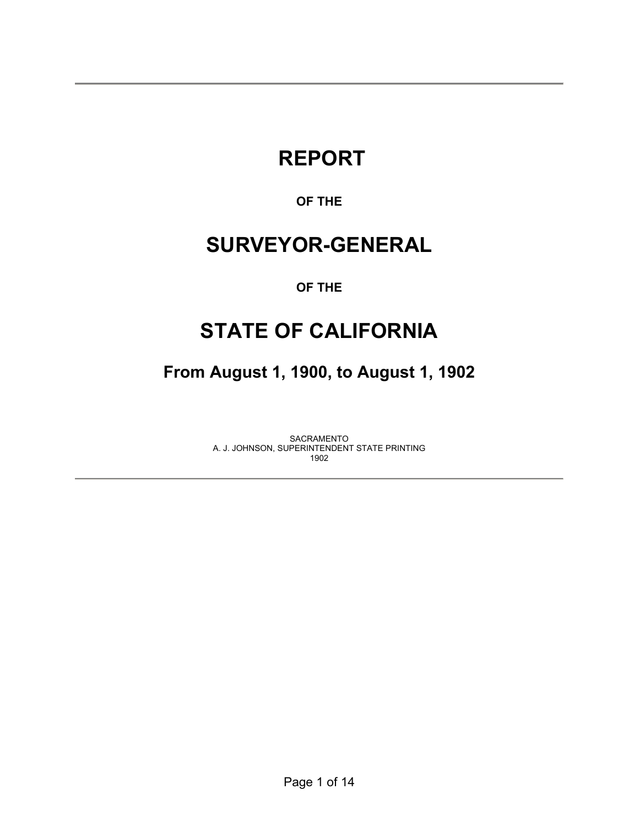# **REPORT**

## **OF THE**

## **SURVEYOR-GENERAL**

## **OF THE**

## **STATE OF CALIFORNIA**

**From August 1, 1900, to August 1, 1902** 

SACRAMENTO A. J. JOHNSON, SUPERINTENDENT STATE PRINTING 1902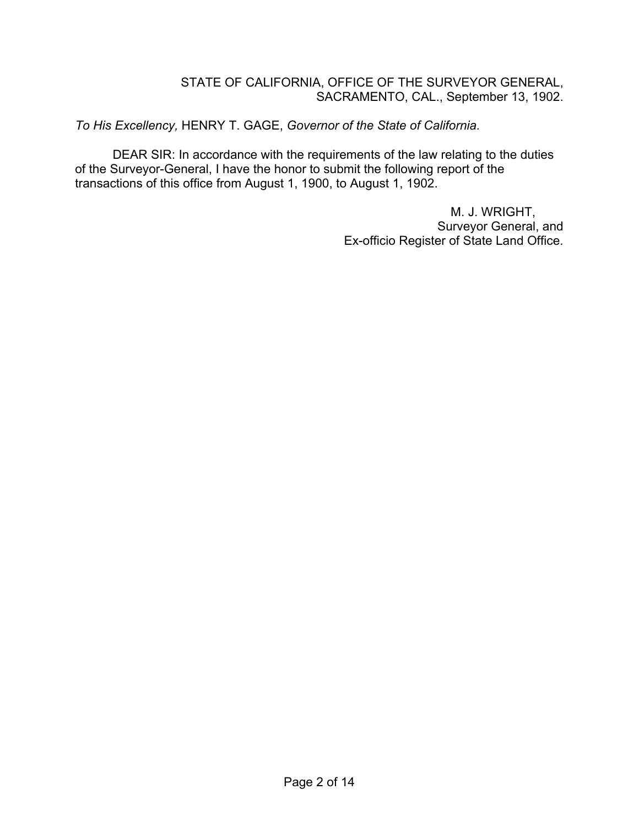#### STATE OF CALIFORNIA, OFFICE OF THE SURVEYOR GENERAL, SACRAMENTO, CAL., September 13, 1902.

*To His Excellency,* HENRY T. GAGE, *Governor of the State of California.*

DEAR SIR: In accordance with the requirements of the law relating to the duties of the Surveyor-General, I have the honor to submit the following report of the transactions of this office from August 1, 1900, to August 1, 1902.

> M. J. WRIGHT, Surveyor General, and Ex-officio Register of State Land Office.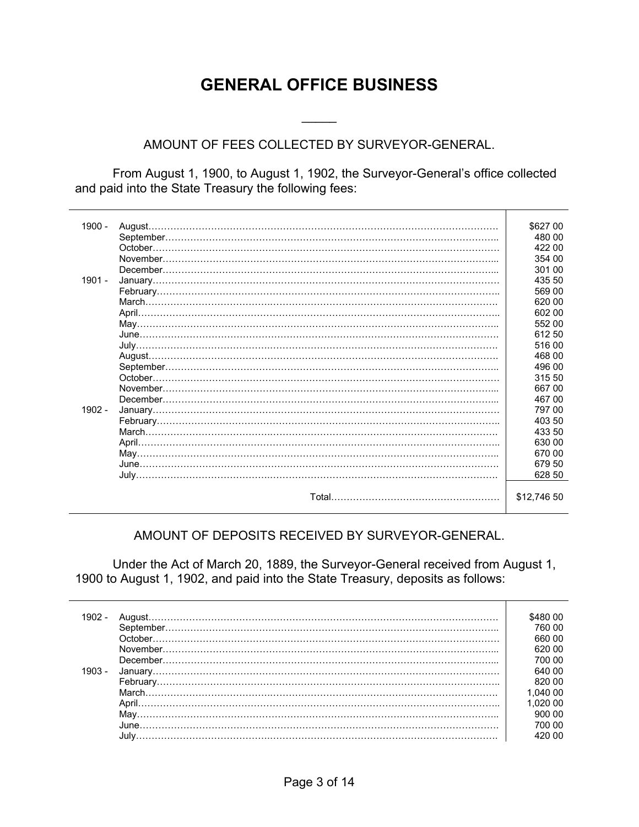## **GENERAL OFFICE BUSINESS**

## AMOUNT OF FEES COLLECTED BY SURVEYOR-GENERAL.

 $\frac{1}{2}$ 

 From August 1, 1900, to August 1, 1902, the Surveyor-General's office collected and paid into the State Treasury the following fees:

| 1900 -   |          | \$627 00    |
|----------|----------|-------------|
|          |          | 480 00      |
|          |          | 422 00      |
|          |          | 354 00      |
|          |          | 301 00      |
| $1901 -$ |          | 435 50      |
|          |          | 569 00      |
|          |          | 620 00      |
|          |          | 602 00      |
|          |          | 552 00      |
|          |          | 612 50      |
|          |          | 516 00      |
|          |          | 468 00      |
|          |          | 496 00      |
|          | October. | 315 50      |
|          |          | 667 00      |
|          |          | 467 00      |
| $1902 -$ |          | 797 00      |
|          |          | 403 50      |
|          |          | 433 50      |
|          |          | 630 00      |
|          |          | 670 00      |
|          |          | 679 50      |
|          |          | 628 50      |
|          |          |             |
|          |          | \$12,746 50 |
|          |          |             |

#### AMOUNT OF DEPOSITS RECEIVED BY SURVEYOR-GENERAL.

 Under the Act of March 20, 1889, the Surveyor-General received from August 1, 1900 to August 1, 1902, and paid into the State Treasury, deposits as follows:

|        | I80 00   |
|--------|----------|
|        | 760.00   |
|        | 660 00   |
|        | 620.00   |
|        | 700.00   |
| 1903 - | 640 00   |
|        | 820.00   |
|        | 1.040 00 |
|        | 1.020 00 |
|        | 900.00   |
|        | 700.00   |
|        | 420 NO   |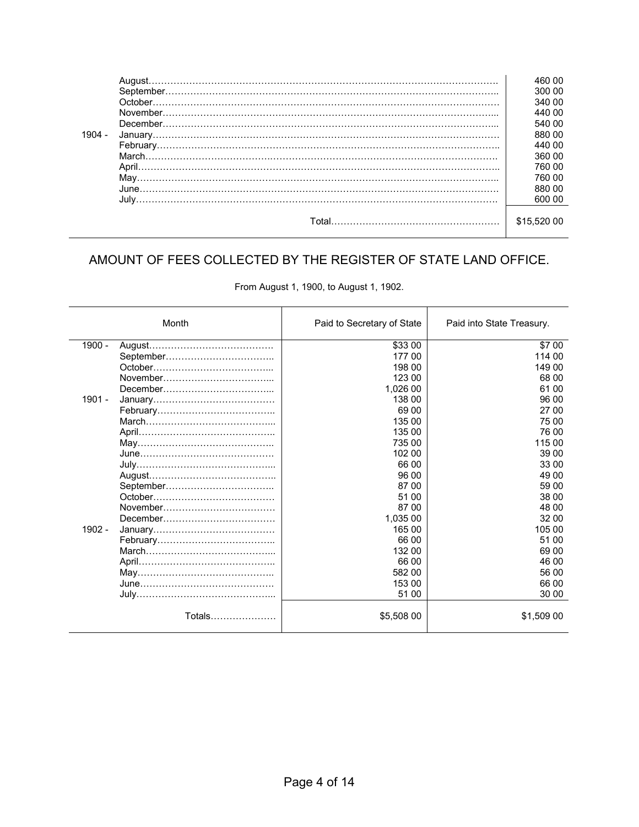|          | August. | 460 00   |
|----------|---------|----------|
|          |         | 300 00   |
|          |         | 340 00   |
|          |         | 440 00   |
|          |         | 540 00   |
| $1904 -$ |         | 880 00   |
|          |         | 440.00   |
|          |         | 360 00   |
|          |         | 760 00   |
|          |         | 760 00   |
|          |         | 880 00   |
|          |         | 600 00   |
|          |         |          |
|          | Total   | \$15.520 |
|          |         |          |

## AMOUNT OF FEES COLLECTED BY THE REGISTER OF STATE LAND OFFICE.

| From August 1, 1900, to August 1, 1902. |  |  |  |
|-----------------------------------------|--|--|--|
|-----------------------------------------|--|--|--|

|          | Month         | Paid to Secretary of State | Paid into State Treasury. |
|----------|---------------|----------------------------|---------------------------|
| 1900 -   |               | \$33 00                    | \$7 00                    |
|          |               | 177 00                     | 114 00                    |
|          |               | 198 00                     | 149 00                    |
|          |               | 123 00                     | 68 00                     |
|          |               | 1,026 00                   | 61 00                     |
| 1901 -   |               | 138 00                     | 96 00                     |
|          |               | 69 00                      | 27 00                     |
|          |               | 135 00                     | 75 00                     |
|          |               | 135 00                     | 76 00                     |
|          |               | 735 00                     | 115 00                    |
|          |               | 102 00                     | 39 00                     |
|          |               | 66 00                      | 33 00                     |
|          |               | 96 00                      | 49 00                     |
|          |               | 87 00                      | 59 00                     |
|          |               | 51 00                      | 38 00                     |
|          |               | 87 00                      | 48 00                     |
|          |               | 1,035 00                   | 32 00                     |
| $1902 -$ |               | 165 00                     | 105 00                    |
|          |               | 66 00                      | 51 00                     |
|          |               | 132 00                     | 69 00                     |
|          |               | 66 00                      | 46 00                     |
|          |               | 582 00                     | 56 00                     |
|          |               | 153 00                     | 66 00                     |
|          |               | 51 00                      | 30 00                     |
|          | Totals………………… | \$5,508 00                 | \$1,509 00                |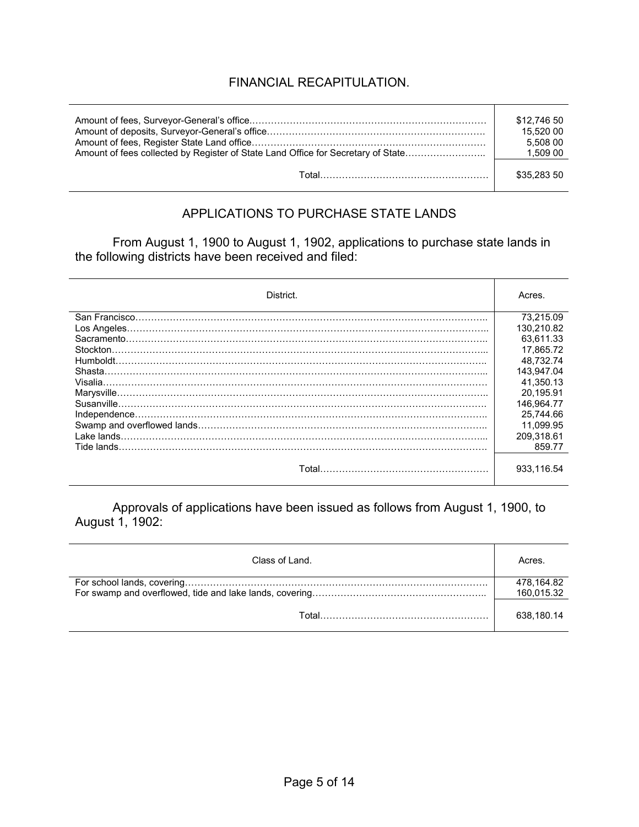## FINANCIAL RECAPITULATION.

|                           | \$12,746 50 |
|---------------------------|-------------|
|                           | 15.520 00   |
|                           | 5.508 00    |
|                           | 1,509 00    |
| Total…………………………………………………… | \$35,283 50 |

## APPLICATIONS TO PURCHASE STATE LANDS

From August 1, 1900 to August 1, 1902, applications to purchase state lands in the following districts have been received and filed:

| District.                | Acres.     |
|--------------------------|------------|
|                          | 73.215.09  |
|                          | 130.210.82 |
|                          | 63.611.33  |
| Stockton.                | 17.865.72  |
|                          | 48.732.74  |
| Shasta.                  | 143.947.04 |
|                          | 41.350.13  |
|                          | 20.195.91  |
| Susanville.              | 146.964.77 |
|                          | 25.744.66  |
|                          | 11.099.95  |
| Lake lands.              | 209.318.61 |
| Tide lands.              | 859.77     |
| Total………………………………………………… | 933.116.54 |

Approvals of applications have been issued as follows from August 1, 1900, to August 1, 1902:

| Class of Land. | Acres.                   |
|----------------|--------------------------|
|                | 478,164.82<br>160,015.32 |
| Total          | 638,180.14               |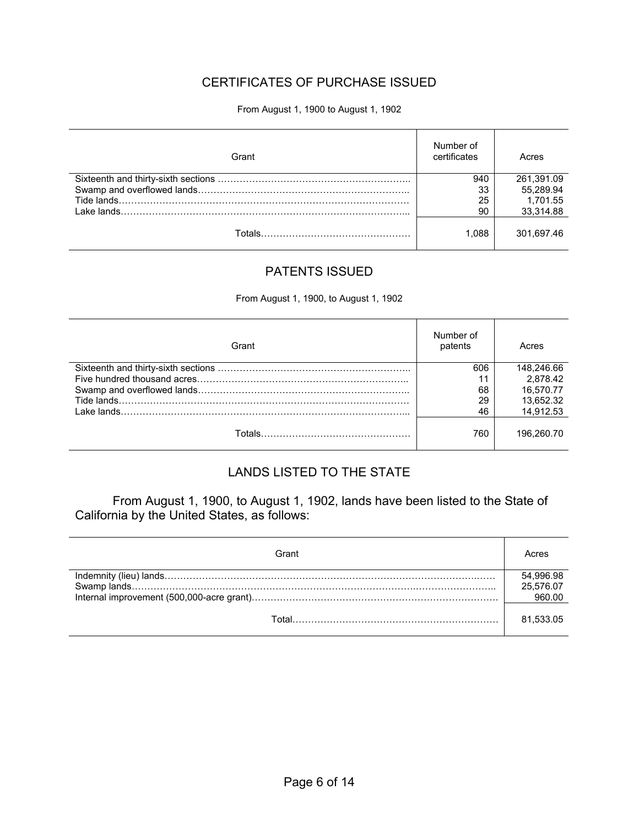## CERTIFICATES OF PURCHASE ISSUED

#### From August 1, 1900 to August 1, 1902

| Grant | Number of<br>certificates | Acres      |
|-------|---------------------------|------------|
|       | 940                       | 261,391.09 |
|       | 33                        | 55,289.94  |
|       | 25                        | 1.701.55   |
|       | 90                        | 33,314.88  |
|       | 1.088                     | 301.697.46 |

#### PATENTS ISSUED

From August 1, 1900, to August 1, 1902

| Grant | Number of<br>patents | Acres      |
|-------|----------------------|------------|
|       | 606                  | 148.246.66 |
|       | 11                   | 2.878.42   |
|       | 68                   | 16.570.77  |
|       | 29                   | 13.652.32  |
|       | 46                   | 14.912.53  |
|       | 760                  | 196.260.70 |

## LANDS LISTED TO THE STATE

 From August 1, 1900, to August 1, 1902, lands have been listed to the State of California by the United States, as follows:

| Grant | Acres                  |
|-------|------------------------|
|       | 54,996.98<br>25.576.07 |
|       | 960.00                 |
| Total | 81.533.05              |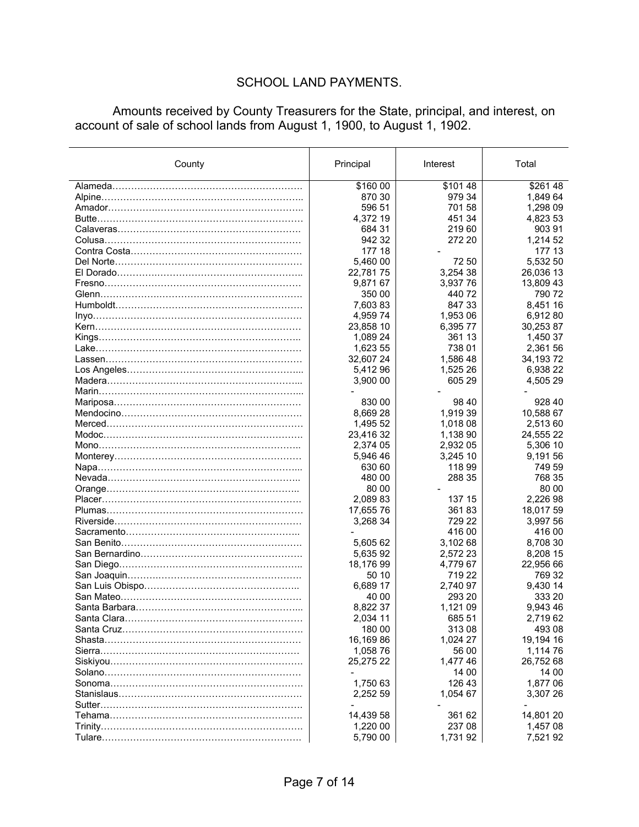## SCHOOL LAND PAYMENTS.

Amounts received by County Treasurers for the State, principal, and interest, on account of sale of school lands from August 1, 1900, to August 1, 1902.

| County                        | Principal | Interest       | Total     |
|-------------------------------|-----------|----------------|-----------|
|                               | \$160 00  | \$10148        | \$26148   |
|                               | 870 30    | 979 34         | 1,849 64  |
|                               | 596 51    | 701 58         | 1,298 09  |
|                               | 4,372 19  | 451 34         | 4,823 53  |
|                               | 684 31    | 21960          | 903 91    |
|                               | 942 32    | 272 20         | 1,214 52  |
|                               | 177 18    |                | 177 13    |
|                               | 5,460 00  | 72 50          | 5,532 50  |
|                               | 22,78175  | 3,254 38       | 26,036 13 |
|                               | 9,871 67  | 3,93776        | 13,809 43 |
|                               | 350 00    | 44072          | 790 72    |
|                               | 7,60383   | 847 33         | 8,451 16  |
|                               | 4,95974   | 1,953 06       | 6,912 80  |
|                               | 23,858 10 | 6,39577        | 30,253 87 |
|                               | 1,089 24  | 361 13         | 1,450 37  |
|                               | 1,623 55  | 738 01         | 2,361 56  |
|                               | 32,607 24 | 1,586 48       | 34,19372  |
|                               | 5,412 96  | 1,525 26       | 6,938 22  |
|                               | 3,900 00  | 605 29         | 4,505 29  |
|                               |           |                |           |
|                               | 830 00    | 98 40          | 928 40    |
|                               | 8,66928   | 1,919 39       | 10,588 67 |
|                               | 1,495 52  | 1,018 08       | 2,513 60  |
|                               | 23,416 32 | 1,138 90       | 24,555 22 |
|                               | 2,374 05  | 2,932 05       | 5,306 10  |
|                               | 5,946 46  | 3,245 10       | 9,191 56  |
|                               | 630 60    | 118 99         | 749 59    |
|                               | 480 00    | 288 35         | 768 35    |
|                               | 80 00     | $\blacksquare$ | 80 00     |
|                               | 2,089 83  | 137 15         | 2,226 98  |
|                               | 17,655 76 | 36183          | 18,017 59 |
|                               | 3,268 34  | 729 22         | 3,997 56  |
|                               |           | 416 00         | 416 00    |
|                               | 5,605 62  | 3,102 68       | 8,708 30  |
|                               | 5,635 92  | 2,572 23       | 8,208 15  |
|                               | 18,176 99 | 4,779 67       | 22,956 66 |
|                               | 50 10     | 719 22         | 769 32    |
|                               | 6,689 17  | 2,740 97       | 9,430 14  |
|                               | 40 00     | 293 20         | 333 20    |
|                               | 8,822 37  | 1,121 09       | 9,943 46  |
|                               | 2,034 11  | 685 51         | 2,719 62  |
|                               | 180 00    | 31308          | 493 08    |
|                               | 16,16986  | 1,024 27       | 19,194 16 |
|                               | 1,058 76  | 56 00          | 1,114 76  |
| Siskiyou……………………………………………………… | 25,275 22 | 1,477 46       | 26,752 68 |
|                               |           | 14 00          | 14 00     |
|                               | 1,750 63  | 126 43         | 1,877 06  |
|                               | 2,252 59  | 1,054 67       | 3,307 26  |
|                               |           |                |           |
|                               | 14,439 58 | 361 62         | 14,801 20 |
|                               | 1,220 00  | 237 08         | 1,457 08  |
|                               | 5,790 00  | 1,731 92       | 7,521 92  |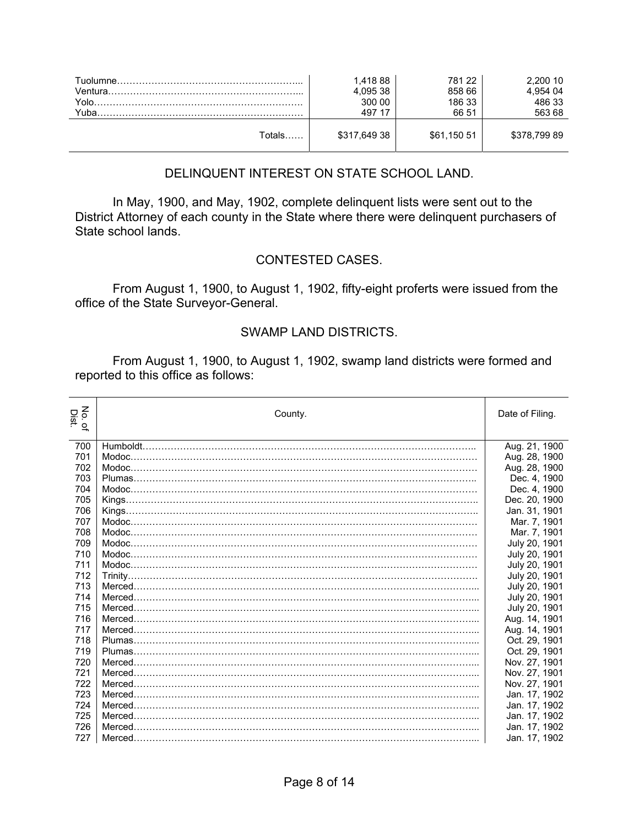| Yolo.<br>Yuba. | 1.418 88<br>4,095 38<br>300 00<br>497 17 | 781 22<br>858 66<br>186 33<br>66 51 | 2.200 10<br>4.954 04<br>486 33<br>563 68 |
|----------------|------------------------------------------|-------------------------------------|------------------------------------------|
| Totals         | \$317,649 38                             | \$61,150 51                         | \$378,79989                              |

## DELINQUENT INTEREST ON STATE SCHOOL LAND.

 In May, 1900, and May, 1902, complete delinquent lists were sent out to the District Attorney of each county in the State where there were delinquent purchasers of State school lands.

## CONTESTED CASES.

 From August 1, 1900, to August 1, 1902, fifty-eight proferts were issued from the office of the State Surveyor-General.

#### SWAMP LAND DISTRICTS.

 From August 1, 1900, to August 1, 1902, swamp land districts were formed and reported to this office as follows:

| $\sum_{i=1}^{n}$<br><b>Dist.</b><br>$\tilde{\sigma}$ | County. | Date of Filing. |
|------------------------------------------------------|---------|-----------------|
| 700                                                  |         | Aug. 21, 1900   |
| 701                                                  |         | Aug. 28, 1900   |
| 702                                                  |         | Aug. 28, 1900   |
| 703                                                  |         | Dec. 4, 1900    |
| 704                                                  |         | Dec. 4, 1900    |
| 705                                                  |         | Dec. 20, 1900   |
| 706                                                  |         | Jan. 31, 1901   |
| 707                                                  |         | Mar. 7, 1901    |
| 708                                                  |         | Mar. 7, 1901    |
| 709                                                  |         | July 20, 1901   |
| 710                                                  |         | July 20, 1901   |
| 711                                                  |         | July 20, 1901   |
| 712                                                  |         | July 20, 1901   |
| 713                                                  |         | July 20, 1901   |
| 714                                                  |         | July 20, 1901   |
| 715                                                  |         | July 20, 1901   |
| 716                                                  |         | Aug. 14, 1901   |
| 717                                                  |         | Aug. 14, 1901   |
| 718                                                  |         | Oct. 29, 1901   |
| 719                                                  |         | Oct. 29, 1901   |
| 720                                                  |         | Nov. 27, 1901   |
| 721                                                  |         | Nov. 27, 1901   |
| 722                                                  |         | Nov. 27, 1901   |
| 723                                                  |         | Jan. 17, 1902   |
| 724                                                  | Merced. | Jan. 17, 1902   |
| 725                                                  |         | Jan. 17, 1902   |
| 726                                                  |         | Jan. 17, 1902   |
| 727                                                  |         | Jan. 17, 1902   |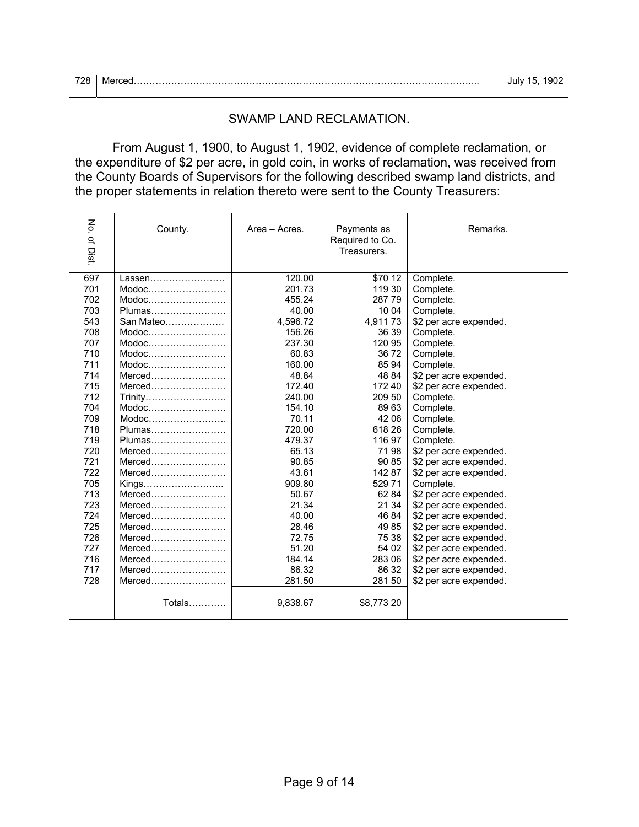|  | July 15, 1902 |
|--|---------------|
|  |               |

| 728<br>. Lv<br>__ | N/16 | ۱1۱ |
|-------------------|------|-----|
|-------------------|------|-----|

## SWAMP LAND RECLAMATION.

 From August 1, 1900, to August 1, 1902, evidence of complete reclamation, or the expenditure of \$2 per acre, in gold coin, in works of reclamation, was received from the County Boards of Supervisors for the following described swamp land districts, and the proper statements in relation thereto were sent to the County Treasurers:

| No. of Dist. | County.   | Area - Acres. | Payments as<br>Required to Co.<br>Treasurers. | Remarks.               |
|--------------|-----------|---------------|-----------------------------------------------|------------------------|
| 697          | Lassen    | 120.00        | $\frac{1}{10}$ 70 12                          | Complete.              |
| 701          | Modoc     | 201.73        | 119 30                                        | Complete.              |
| 702          | Modoc     | 455.24        | 28779                                         | Complete.              |
| 703          | Plumas    | 40.00         | 10 04                                         | Complete.              |
| 543          | San Mateo | 4,596.72      | 4,91173                                       | \$2 per acre expended. |
| 708          | Modoc     | 156.26        | 36 39                                         | Complete.              |
| 707          | Modoc     | 237.30        | 120 95                                        | Complete.              |
| 710          | Modoc     | 60.83         | 3672                                          | Complete.              |
| 711          | Modoc     | 160.00        | 85 94                                         | Complete.              |
| 714          | $Merced$  | 48.84         | 48 84                                         | \$2 per acre expended. |
| 715          | $Merced$  | 172.40        | 172 40                                        | \$2 per acre expended. |
| 712          | Trinity   | 240.00        | 209 50                                        | Complete.              |
| 704          | Modoc     | 154.10        | 89 63                                         | Complete.              |
| 709          | $Modoc$   | 70.11         | 42 06                                         | Complete.              |
| 718          | Plumas    | 720.00        | 618 26                                        | Complete.              |
| 719          | Plumas    | 479.37        | 11697                                         | Complete.              |
| 720          | $Merced$  | 65.13         | 7198                                          | \$2 per acre expended. |
| 721          | $Merced$  | 90.85         | 90 85                                         | \$2 per acre expended. |
| 722          | $Merced$  | 43.61         | 14287                                         | \$2 per acre expended. |
| 705          | Kings     | 909.80        | 52971                                         | Complete.              |
| 713          | Merced    | 50.67         | 62 84                                         | \$2 per acre expended. |
| 723          | $Merced$  | 21.34         | 21 34                                         | \$2 per acre expended. |
| 724          | Merced    | 40.00         | 46 84                                         | \$2 per acre expended. |
| 725          | Merced    | 28.46         | 4985                                          | \$2 per acre expended. |
| 726          | $Merced$  | 72.75         | 75 38                                         | \$2 per acre expended. |
| 727          | $Merced$  | 51.20         | 54 02                                         | \$2 per acre expended. |
| 716          | $Merced$  | 184.14        | 283 06                                        | \$2 per acre expended. |
| 717          | $Merced$  | 86.32         | 86 32                                         | \$2 per acre expended. |
| 728          | $Merced$  | 281.50        | 281 50                                        | \$2 per acre expended. |
|              | Totals    | 9,838.67      | \$8,773 20                                    |                        |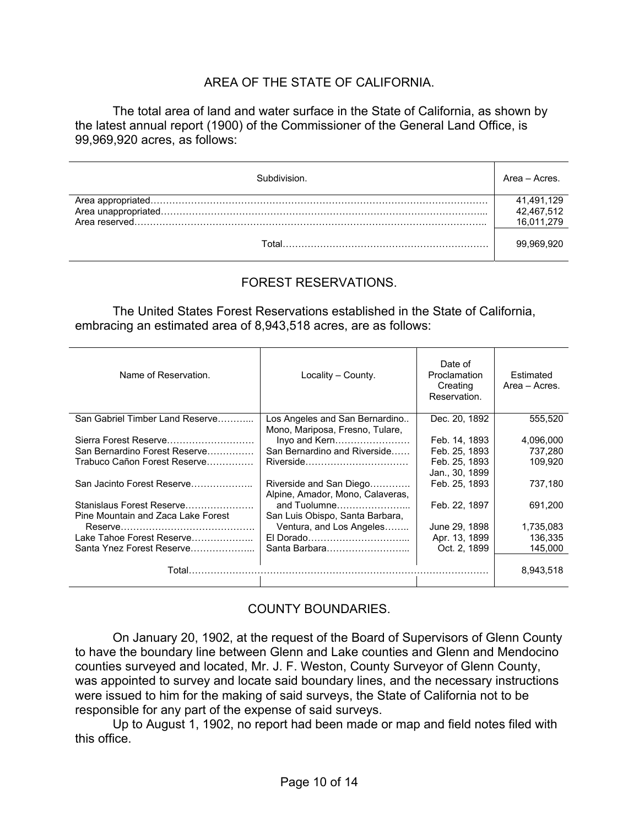## AREA OF THE STATE OF CALIFORNIA.

 The total area of land and water surface in the State of California, as shown by the latest annual report (1900) of the Commissioner of the General Land Office, is 99,969,920 acres, as follows:

| Subdivision. | Area - Acres. |
|--------------|---------------|
|              | 41,491,129    |
|              | 42,467,512    |
|              |               |
| Total        | 99.969.920    |

## FOREST RESERVATIONS.

 The United States Forest Reservations established in the State of California, embracing an estimated area of 8,943,518 acres, are as follows:

| Name of Reservation.                                            | Locality – County.                                                | Date of<br>Proclamation<br>Creating<br>Reservation. | Estimated<br>Area - Acres. |
|-----------------------------------------------------------------|-------------------------------------------------------------------|-----------------------------------------------------|----------------------------|
| San Gabriel Timber Land Reserve                                 | Los Angeles and San Bernardino<br>Mono, Mariposa, Fresno, Tulare, | Dec. 20, 1892                                       | 555,520                    |
| Sierra Forest Reserve                                           | Inyo and Kern                                                     | Feb. 14, 1893                                       | 4,096,000                  |
| San Bernardino Forest Reserve                                   | San Bernardino and Riverside                                      | Feb. 25, 1893                                       | 737,280                    |
| Trabuco Cañon Forest Reserve                                    |                                                                   | Feb. 25, 1893<br>Jan., 30, 1899                     | 109.920                    |
| San Jacinto Forest Reserve                                      | Riverside and San Diego<br>Alpine, Amador, Mono, Calaveras,       | Feb. 25, 1893                                       | 737,180                    |
| Stanislaus Forest Reserve<br>Pine Mountain and Zaca Lake Forest | and Tuolumne<br>San Luis Obispo, Santa Barbara,                   | Feb. 22, 1897                                       | 691,200                    |
|                                                                 | Ventura, and Los Angeles                                          | June 29, 1898                                       | 1,735,083                  |
| Lake Tahoe Forest Reserve                                       |                                                                   | Apr. 13, 1899                                       | 136,335                    |
| Santa Ynez Forest Reserve                                       | Santa Barbara                                                     | Oct. 2, 1899                                        | 145.000                    |
| Total                                                           |                                                                   |                                                     | 8,943,518                  |

## COUNTY BOUNDARIES.

 On January 20, 1902, at the request of the Board of Supervisors of Glenn County to have the boundary line between Glenn and Lake counties and Glenn and Mendocino counties surveyed and located, Mr. J. F. Weston, County Surveyor of Glenn County, was appointed to survey and locate said boundary lines, and the necessary instructions were issued to him for the making of said surveys, the State of California not to be responsible for any part of the expense of said surveys.

 Up to August 1, 1902, no report had been made or map and field notes filed with this office.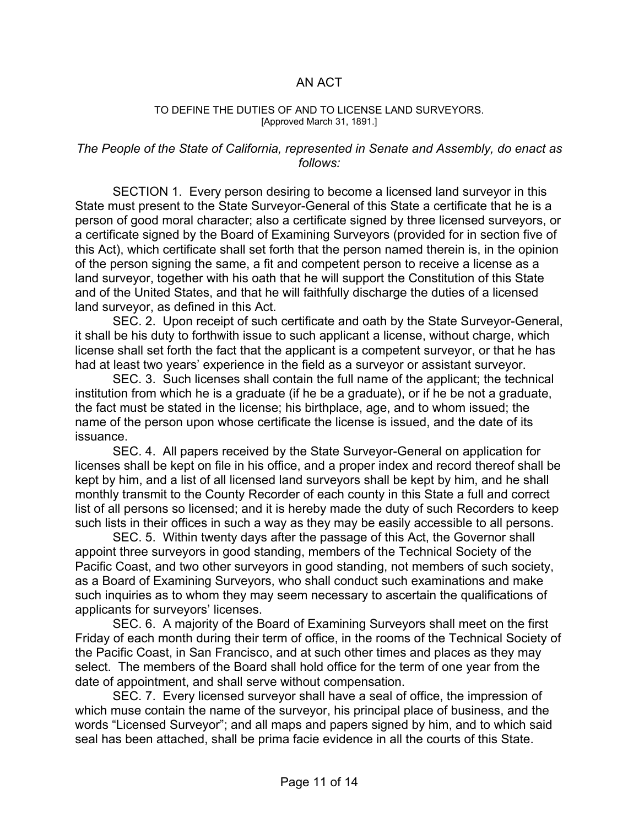## AN ACT

#### TO DEFINE THE DUTIES OF AND TO LICENSE LAND SURVEYORS. [Approved March 31, 1891.]

#### *The People of the State of California, represented in Senate and Assembly, do enact as follows:*

 SECTION 1. Every person desiring to become a licensed land surveyor in this State must present to the State Surveyor-General of this State a certificate that he is a person of good moral character; also a certificate signed by three licensed surveyors, or a certificate signed by the Board of Examining Surveyors (provided for in section five of this Act), which certificate shall set forth that the person named therein is, in the opinion of the person signing the same, a fit and competent person to receive a license as a land surveyor, together with his oath that he will support the Constitution of this State and of the United States, and that he will faithfully discharge the duties of a licensed land surveyor, as defined in this Act.

 SEC. 2. Upon receipt of such certificate and oath by the State Surveyor-General, it shall be his duty to forthwith issue to such applicant a license, without charge, which license shall set forth the fact that the applicant is a competent surveyor, or that he has had at least two years' experience in the field as a surveyor or assistant surveyor.

 SEC. 3. Such licenses shall contain the full name of the applicant; the technical institution from which he is a graduate (if he be a graduate), or if he be not a graduate, the fact must be stated in the license; his birthplace, age, and to whom issued; the name of the person upon whose certificate the license is issued, and the date of its issuance.

 SEC. 4. All papers received by the State Surveyor-General on application for licenses shall be kept on file in his office, and a proper index and record thereof shall be kept by him, and a list of all licensed land surveyors shall be kept by him, and he shall monthly transmit to the County Recorder of each county in this State a full and correct list of all persons so licensed; and it is hereby made the duty of such Recorders to keep such lists in their offices in such a way as they may be easily accessible to all persons.

 SEC. 5. Within twenty days after the passage of this Act, the Governor shall appoint three surveyors in good standing, members of the Technical Society of the Pacific Coast, and two other surveyors in good standing, not members of such society, as a Board of Examining Surveyors, who shall conduct such examinations and make such inquiries as to whom they may seem necessary to ascertain the qualifications of applicants for surveyors' licenses.

 SEC. 6. A majority of the Board of Examining Surveyors shall meet on the first Friday of each month during their term of office, in the rooms of the Technical Society of the Pacific Coast, in San Francisco, and at such other times and places as they may select. The members of the Board shall hold office for the term of one year from the date of appointment, and shall serve without compensation.

 SEC. 7. Every licensed surveyor shall have a seal of office, the impression of which muse contain the name of the surveyor, his principal place of business, and the words "Licensed Surveyor"; and all maps and papers signed by him, and to which said seal has been attached, shall be prima facie evidence in all the courts of this State.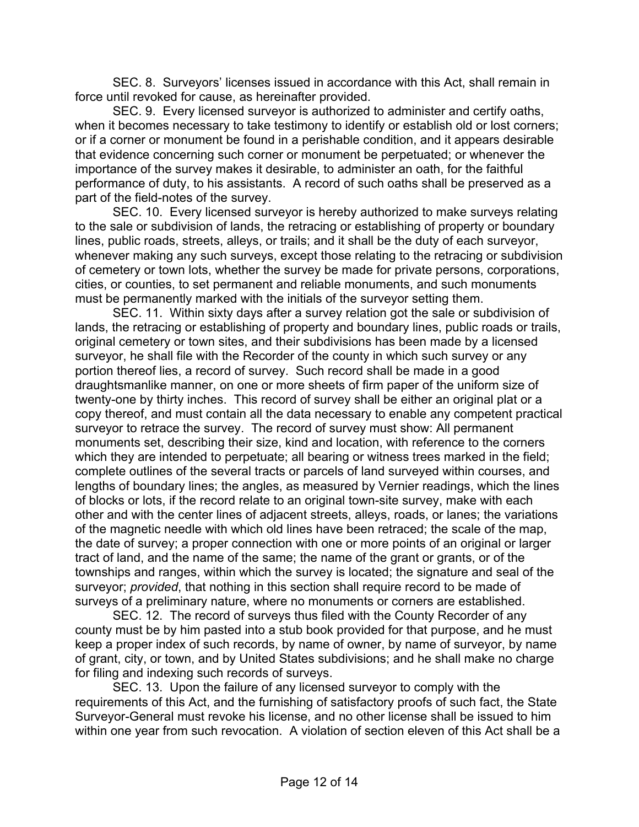SEC. 8. Surveyors' licenses issued in accordance with this Act, shall remain in force until revoked for cause, as hereinafter provided.

 SEC. 9. Every licensed surveyor is authorized to administer and certify oaths, when it becomes necessary to take testimony to identify or establish old or lost corners; or if a corner or monument be found in a perishable condition, and it appears desirable that evidence concerning such corner or monument be perpetuated; or whenever the importance of the survey makes it desirable, to administer an oath, for the faithful performance of duty, to his assistants. A record of such oaths shall be preserved as a part of the field-notes of the survey.

 SEC. 10. Every licensed surveyor is hereby authorized to make surveys relating to the sale or subdivision of lands, the retracing or establishing of property or boundary lines, public roads, streets, alleys, or trails; and it shall be the duty of each surveyor, whenever making any such surveys, except those relating to the retracing or subdivision of cemetery or town lots, whether the survey be made for private persons, corporations, cities, or counties, to set permanent and reliable monuments, and such monuments must be permanently marked with the initials of the surveyor setting them.

 SEC. 11. Within sixty days after a survey relation got the sale or subdivision of lands, the retracing or establishing of property and boundary lines, public roads or trails, original cemetery or town sites, and their subdivisions has been made by a licensed surveyor, he shall file with the Recorder of the county in which such survey or any portion thereof lies, a record of survey. Such record shall be made in a good draughtsmanlike manner, on one or more sheets of firm paper of the uniform size of twenty-one by thirty inches. This record of survey shall be either an original plat or a copy thereof, and must contain all the data necessary to enable any competent practical surveyor to retrace the survey. The record of survey must show: All permanent monuments set, describing their size, kind and location, with reference to the corners which they are intended to perpetuate; all bearing or witness trees marked in the field; complete outlines of the several tracts or parcels of land surveyed within courses, and lengths of boundary lines; the angles, as measured by Vernier readings, which the lines of blocks or lots, if the record relate to an original town-site survey, make with each other and with the center lines of adjacent streets, alleys, roads, or lanes; the variations of the magnetic needle with which old lines have been retraced; the scale of the map, the date of survey; a proper connection with one or more points of an original or larger tract of land, and the name of the same; the name of the grant or grants, or of the townships and ranges, within which the survey is located; the signature and seal of the surveyor; *provided*, that nothing in this section shall require record to be made of surveys of a preliminary nature, where no monuments or corners are established.

 SEC. 12. The record of surveys thus filed with the County Recorder of any county must be by him pasted into a stub book provided for that purpose, and he must keep a proper index of such records, by name of owner, by name of surveyor, by name of grant, city, or town, and by United States subdivisions; and he shall make no charge for filing and indexing such records of surveys.

 SEC. 13. Upon the failure of any licensed surveyor to comply with the requirements of this Act, and the furnishing of satisfactory proofs of such fact, the State Surveyor-General must revoke his license, and no other license shall be issued to him within one year from such revocation. A violation of section eleven of this Act shall be a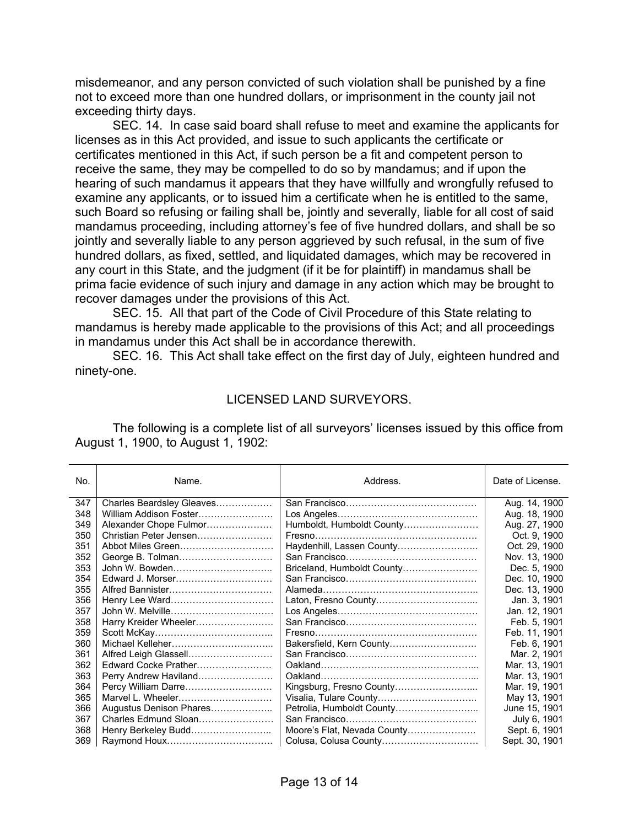misdemeanor, and any person convicted of such violation shall be punished by a fine not to exceed more than one hundred dollars, or imprisonment in the county jail not exceeding thirty days.

 SEC. 14. In case said board shall refuse to meet and examine the applicants for licenses as in this Act provided, and issue to such applicants the certificate or certificates mentioned in this Act, if such person be a fit and competent person to receive the same, they may be compelled to do so by mandamus; and if upon the hearing of such mandamus it appears that they have willfully and wrongfully refused to examine any applicants, or to issued him a certificate when he is entitled to the same, such Board so refusing or failing shall be, jointly and severally, liable for all cost of said mandamus proceeding, including attorney's fee of five hundred dollars, and shall be so jointly and severally liable to any person aggrieved by such refusal, in the sum of five hundred dollars, as fixed, settled, and liquidated damages, which may be recovered in any court in this State, and the judgment (if it be for plaintiff) in mandamus shall be prima facie evidence of such injury and damage in any action which may be brought to recover damages under the provisions of this Act.

 SEC. 15. All that part of the Code of Civil Procedure of this State relating to mandamus is hereby made applicable to the provisions of this Act; and all proceedings in mandamus under this Act shall be in accordance therewith.

 SEC. 16. This Act shall take effect on the first day of July, eighteen hundred and ninety-one.

#### LICENSED LAND SURVEYORS.

 The following is a complete list of all surveyors' licenses issued by this office from August 1, 1900, to August 1, 1902:

| No. | Name.                     | Address.                    | Date of License. |
|-----|---------------------------|-----------------------------|------------------|
| 347 | Charles Beardsley Gleaves |                             | Aug. 14, 1900    |
| 348 | William Addison Foster    |                             | Aug. 18, 1900    |
| 349 | Alexander Chope Fulmor    | Humboldt, Humboldt County   | Aug. 27, 1900    |
| 350 | Christian Peter Jensen    |                             | Oct. 9, 1900     |
| 351 | Abbot Miles Green         | Haydenhill, Lassen County   | Oct. 29, 1900    |
| 352 | George B. Tolman          |                             | Nov. 13, 1900    |
| 353 | John W. Bowden            | Briceland, Humboldt County  | Dec. 5, 1900     |
| 354 | Edward J. Morser          |                             | Dec. 10, 1900    |
| 355 | Alfred Bannister          |                             | Dec. 13, 1900    |
| 356 | Henry Lee Ward            |                             | Jan. 3, 1901     |
| 357 |                           |                             | Jan. 12, 1901    |
| 358 | Harry Kreider Wheeler     |                             | Feb. 5, 1901     |
| 359 |                           |                             | Feb. 11, 1901    |
| 360 |                           |                             | Feb. 6, 1901     |
| 361 | Alfred Leigh Glassell     |                             | Mar. 2, 1901     |
| 362 | Edward Cocke Prather      |                             | Mar. 13, 1901    |
| 363 | Perry Andrew Haviland     |                             | Mar. 13, 1901    |
| 364 | Percy William Darre       | Kingsburg, Fresno County    | Mar. 19, 1901    |
| 365 | Marvel L. Wheeler         |                             | May 13, 1901     |
| 366 | Augustus Denison Phares   | Petrolia, Humboldt County   | June 15, 1901    |
| 367 | Charles Edmund Sloan      |                             | July 6, 1901     |
| 368 | Henry Berkeley Budd       | Moore's Flat, Nevada County | Sept. 6, 1901    |
| 369 |                           |                             | Sept. 30, 1901   |